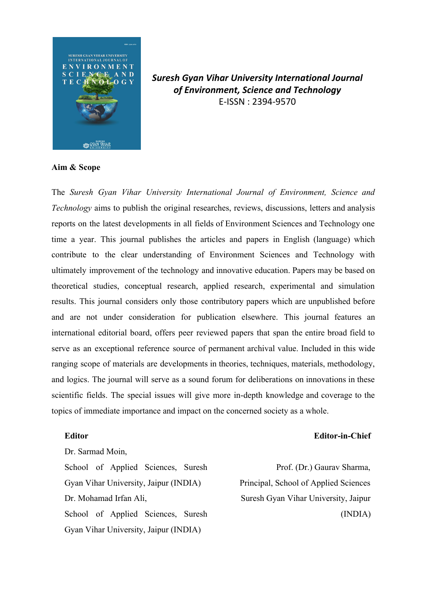

*Suresh Gyan Vihar University International Journal of Environment, Science and Technology* E-ISSN : 2394-9570

## **Aim & Scope**

The *Suresh Gyan Vihar University International Journal of Environment, Science and Technology* aims to publish the original researches, reviews, discussions, letters and analysis reports on the latest developments in all fields of Environment Sciences and Technology one time a year. This journal publishes the articles and papers in English (language) which contribute to the clear understanding of Environment Sciences and Technology with ultimately improvement of the technology and innovative education. Papers may be based on theoretical studies, conceptual research, applied research, experimental and simulation results. This journal considers only those contributory papers which are unpublished before and are not under consideration for publication elsewhere. This journal features an international editorial board, offers peer reviewed papers that span the entire broad field to serve as an exceptional reference source of permanent archival value. Included in this wide ranging scope of materials are developments in theories, techniques, materials, methodology, and logics. The journal will serve as a sound forum for deliberations on innovations in these scientific fields. The special issues will give more in-depth knowledge and coverage to the topics of immediate importance and impact on the concerned society as a whole.

## **Editor**

Dr. Sarmad Moin, School of Applied Sciences, Suresh Gyan Vihar University, Jaipur (INDIA) Dr. Mohamad Irfan Ali, School of Applied Sciences, Suresh Gyan Vihar University, Jaipur (INDIA)

**Editor-in-Chief**

Prof. (Dr.) Gaurav Sharma, Principal, School of Applied Sciences Suresh Gyan Vihar University, Jaipur (INDIA)